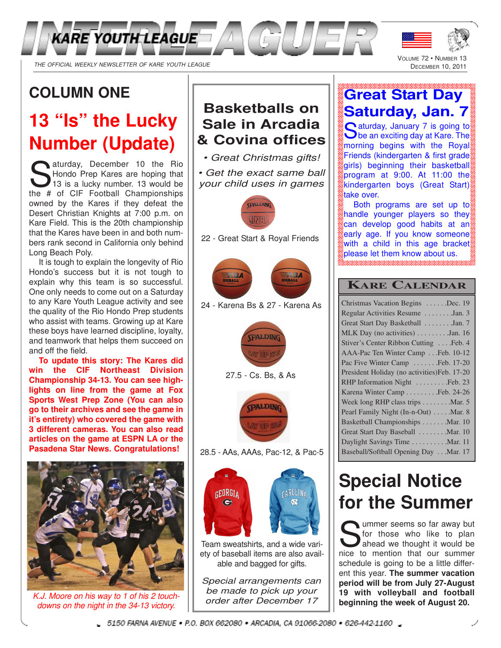

# **COLUMN ONE**

# **13 "Is" the Lucky Number (Update)**

Survey, December 10 the Rio<br>Hondo Prep Kares are hoping that<br>13 is a lucky number. 13 would be<br>the # of CIE Football Championships Hondo Prep Kares are hoping that 13 is a lucky number. 13 would be the # of CIF Football Championships owned by the Kares if they defeat the Desert Christian Knights at 7:00 p.m. on Kare Field. This is the 20th championship that the Kares have been in and both numbers rank second in California only behind Long Beach Poly.

It is tough to explain the longevity of Rio Hondo's success but it is not tough to explain why this team is so successful. One only needs to come out on a Saturday to any Kare Youth League activity and see the quality of the Rio Hondo Prep students who assist with teams. Growing up at Kare these boys have learned discipline, loyalty, and teamwork that helps them succeed on and off the field.

**To update this story: The Kares did win the CIF Northeast Division Championship 34-13. You can see highlights on line from the game at Fox Sports West Prep Zone (You can also go to their archives and see the game in it's entirety) who covered the game with 3 different cameras. You can also read articles on the game at ESPN LA or the Pasadena Star News. Congratulations!**



K.J. Moore on his way to 1 of his 2 touchdowns on the night in the 34-13 victory.

## **Basketballs on Sale in Arcadia & Covina offices**

• Great Christmas gifts!

• Get the exact same ball your child uses in games



22 - Great Start & Royal Friends



24 - Karena Bs & 27 - Karena As





28.5 - AAs, AAAs, Pac-12, & Pac-5



Team sweatshirts, and a wide variety of baseball items are also available and bagged for gifts.

Special arrangements can be made to pick up your order after December 17

# **Great Start Day Saturday, Jan. 7**

VOLUME 72 · NUMBER DECEMBER 10, 2011

Saturday, January 7 is going to<br>Sole an exciting day at Kare. The **C** aturday, January 7 is going to morning begins with the Royal Friends (kindergarten & first grade girls) beginning their basketball program at 9:00. At 11:00 the kindergarten boys (Great Start) take over.

Both programs are set up to handle younger players so they can develop good habits at an early age. If you know someone with a child in this age bracket please let them know about us.

### **KARE CALENDAR**

# **Special Notice for the Summer**

So far away but<br>
So for those who like to plan<br>
ahead we thought it would be<br>
nice to mention that our summer ummer seems so far away but for those who like to plan ahead we thought it would be schedule is going to be a little different this year. **The summer vacation period will be from July 27-August 19 with volleyball and football beginning the week of August 20.**